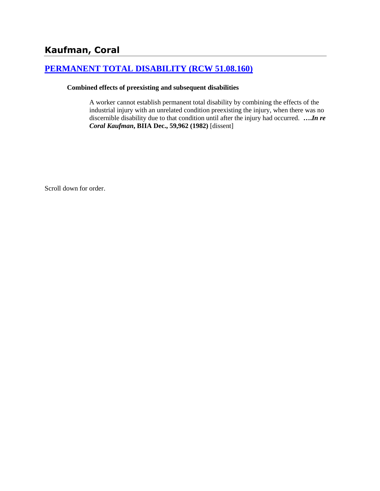# **[PERMANENT TOTAL DISABILITY \(RCW 51.08.160\)](http://www.biia.wa.gov/SDSubjectIndex.html#PERMANENT_TOTAL_DISABILITY)**

#### **Combined effects of preexisting and subsequent disabilities**

A worker cannot establish permanent total disability by combining the effects of the industrial injury with an unrelated condition preexisting the injury, when there was no discernible disability due to that condition until after the injury had occurred. **….***In re Coral Kaufman***, BIIA Dec., 59,962 (1982)** [dissent]

Scroll down for order.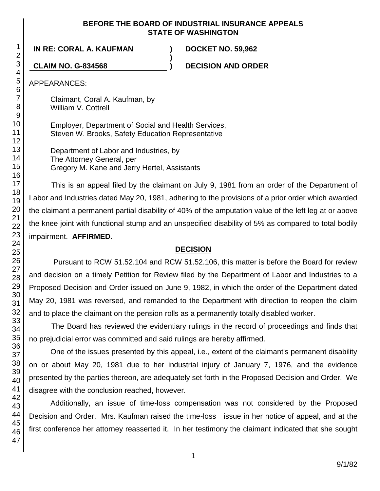### **BEFORE THE BOARD OF INDUSTRIAL INSURANCE APPEALS STATE OF WASHINGTON**

**)**

**IN RE: CORAL A. KAUFMAN ) DOCKET NO. 59,962**

**CLAIM NO. G-834568 ) DECISION AND ORDER**

APPEARANCES:

Claimant, Coral A. Kaufman, by William V. Cottrell

Employer, Department of Social and Health Services, Steven W. Brooks, Safety Education Representative

Department of Labor and Industries, by The Attorney General, per Gregory M. Kane and Jerry Hertel, Assistants

This is an appeal filed by the claimant on July 9, 1981 from an order of the Department of Labor and Industries dated May 20, 1981, adhering to the provisions of a prior order which awarded the claimant a permanent partial disability of 40% of the amputation value of the left leg at or above the knee joint with functional stump and an unspecified disability of 5% as compared to total bodily impairment. **AFFIRMED**.

## **DECISION**

Pursuant to RCW 51.52.104 and RCW 51.52.106, this matter is before the Board for review and decision on a timely Petition for Review filed by the Department of Labor and Industries to a Proposed Decision and Order issued on June 9, 1982, in which the order of the Department dated May 20, 1981 was reversed, and remanded to the Department with direction to reopen the claim and to place the claimant on the pension rolls as a permanently totally disabled worker.

The Board has reviewed the evidentiary rulings in the record of proceedings and finds that no prejudicial error was committed and said rulings are hereby affirmed.

One of the issues presented by this appeal, i.e., extent of the claimant's permanent disability on or about May 20, 1981 due to her industrial injury of January 7, 1976, and the evidence presented by the parties thereon, are adequately set forth in the Proposed Decision and Order. We disagree with the conclusion reached, however.

Additionally, an issue of time-loss compensation was not considered by the Proposed Decision and Order. Mrs. Kaufman raised the time-loss issue in her notice of appeal, and at the first conference her attorney reasserted it. In her testimony the claimant indicated that she sought

1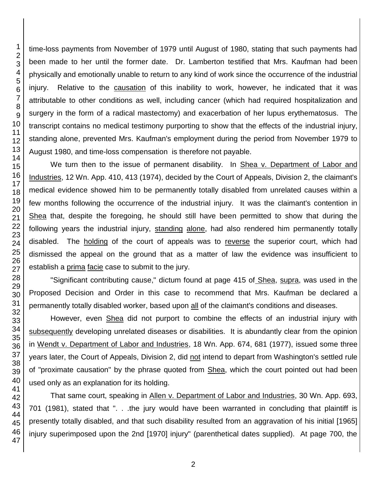time-loss payments from November of 1979 until August of 1980, stating that such payments had been made to her until the former date. Dr. Lamberton testified that Mrs. Kaufman had been physically and emotionally unable to return to any kind of work since the occurrence of the industrial injury. Relative to the causation of this inability to work, however, he indicated that it was attributable to other conditions as well, including cancer (which had required hospitalization and surgery in the form of a radical mastectomy) and exacerbation of her lupus erythematosus. The transcript contains no medical testimony purporting to show that the effects of the industrial injury, standing alone, prevented Mrs. Kaufman's employment during the period from November 1979 to August 1980, and time-loss compensation is therefore not payable.

We turn then to the issue of permanent disability. In Shea v. Department of Labor and Industries, 12 Wn. App. 410, 413 (1974), decided by the Court of Appeals, Division 2, the claimant's medical evidence showed him to be permanently totally disabled from unrelated causes within a few months following the occurrence of the industrial injury. It was the claimant's contention in Shea that, despite the foregoing, he should still have been permitted to show that during the following years the industrial injury, standing alone, had also rendered him permanently totally disabled. The holding of the court of appeals was to reverse the superior court, which had dismissed the appeal on the ground that as a matter of law the evidence was insufficient to establish a prima facie case to submit to the jury.

"Significant contributing cause," dictum found at page 415 of Shea, supra, was used in the Proposed Decision and Order in this case to recommend that Mrs. Kaufman be declared a permanently totally disabled worker, based upon all of the claimant's conditions and diseases.

However, even Shea did not purport to combine the effects of an industrial injury with subsequently developing unrelated diseases or disabilities. It is abundantly clear from the opinion in Wendt v. Department of Labor and Industries, 18 Wn. App. 674, 681 (1977), issued some three years later, the Court of Appeals, Division 2, did not intend to depart from Washington's settled rule of "proximate causation" by the phrase quoted from Shea, which the court pointed out had been used only as an explanation for its holding.

That same court, speaking in Allen v. Department of Labor and Industries, 30 Wn. App. 693, 701 (1981), stated that ". . .the jury would have been warranted in concluding that plaintiff is presently totally disabled, and that such disability resulted from an aggravation of his initial [1965] injury superimposed upon the 2nd [1970] injury" (parenthetical dates supplied). At page 700, the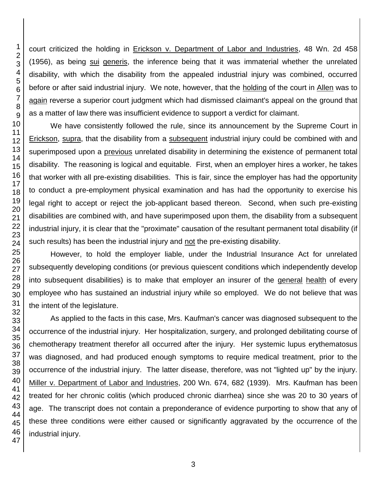court criticized the holding in Erickson v. Department of Labor and Industries, 48 Wn. 2d 458 (1956), as being sui generis, the inference being that it was immaterial whether the unrelated disability, with which the disability from the appealed industrial injury was combined, occurred before or after said industrial injury. We note, however, that the holding of the court in Allen was to again reverse a superior court judgment which had dismissed claimant's appeal on the ground that as a matter of law there was insufficient evidence to support a verdict for claimant.

We have consistently followed the rule, since its announcement by the Supreme Court in Erickson, supra, that the disability from a subsequent industrial injury could be combined with and superimposed upon a previous unrelated disability in determining the existence of permanent total disability. The reasoning is logical and equitable. First, when an employer hires a worker, he takes that worker with all pre-existing disabilities. This is fair, since the employer has had the opportunity to conduct a pre-employment physical examination and has had the opportunity to exercise his legal right to accept or reject the job-applicant based thereon. Second, when such pre-existing disabilities are combined with, and have superimposed upon them, the disability from a subsequent industrial injury, it is clear that the "proximate" causation of the resultant permanent total disability (if such results) has been the industrial injury and not the pre-existing disability.

However, to hold the employer liable, under the Industrial Insurance Act for unrelated subsequently developing conditions (or previous quiescent conditions which independently develop into subsequent disabilities) is to make that employer an insurer of the general health of every employee who has sustained an industrial injury while so employed. We do not believe that was the intent of the legislature.

As applied to the facts in this case, Mrs. Kaufman's cancer was diagnosed subsequent to the occurrence of the industrial injury. Her hospitalization, surgery, and prolonged debilitating course of chemotherapy treatment therefor all occurred after the injury. Her systemic lupus erythematosus was diagnosed, and had produced enough symptoms to require medical treatment, prior to the occurrence of the industrial injury. The latter disease, therefore, was not "lighted up" by the injury. Miller v. Department of Labor and Industries, 200 Wn. 674, 682 (1939). Mrs. Kaufman has been treated for her chronic colitis (which produced chronic diarrhea) since she was 20 to 30 years of age. The transcript does not contain a preponderance of evidence purporting to show that any of these three conditions were either caused or significantly aggravated by the occurrence of the industrial injury.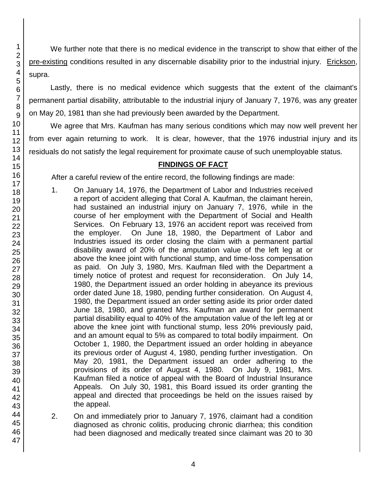We further note that there is no medical evidence in the transcript to show that either of the pre-existing conditions resulted in any discernable disability prior to the industrial injury. Erickson, supra.

Lastly, there is no medical evidence which suggests that the extent of the claimant's permanent partial disability, attributable to the industrial injury of January 7, 1976, was any greater on May 20, 1981 than she had previously been awarded by the Department.

We agree that Mrs. Kaufman has many serious conditions which may now well prevent her from ever again returning to work. It is clear, however, that the 1976 industrial injury and its residuals do not satisfy the legal requirement for proximate cause of such unemployable status.

## **FINDINGS OF FACT**

After a careful review of the entire record, the following findings are made:

- 1. On January 14, 1976, the Department of Labor and Industries received a report of accident alleging that Coral A. Kaufman, the claimant herein, had sustained an industrial injury on January 7, 1976, while in the course of her employment with the Department of Social and Health Services. On February 13, 1976 an accident report was received from the employer. On June 18, 1980, the Department of Labor and Industries issued its order closing the claim with a permanent partial disability award of 20% of the amputation value of the left leg at or above the knee joint with functional stump, and time-loss compensation as paid. On July 3, 1980, Mrs. Kaufman filed with the Department a timely notice of protest and request for reconsideration. On July 14, 1980, the Department issued an order holding in abeyance its previous order dated June 18, 1980, pending further consideration. On August 4, 1980, the Department issued an order setting aside its prior order dated June 18, 1980, and granted Mrs. Kaufman an award for permanent partial disability equal to 40% of the amputation value of the left leg at or above the knee joint with functional stump, less 20% previously paid, and an amount equal to 5% as compared to total bodily impairment. On October 1, 1980, the Department issued an order holding in abeyance its previous order of August 4, 1980, pending further investigation. On May 20, 1981, the Department issued an order adhering to the provisions of its order of August 4, 1980. On July 9, 1981, Mrs. Kaufman filed a notice of appeal with the Board of Industrial Insurance Appeals. On July 30, 1981, this Board issued its order granting the appeal and directed that proceedings be held on the issues raised by the appeal.
- 2. On and immediately prior to January 7, 1976, claimant had a condition diagnosed as chronic colitis, producing chronic diarrhea; this condition had been diagnosed and medically treated since claimant was 20 to 30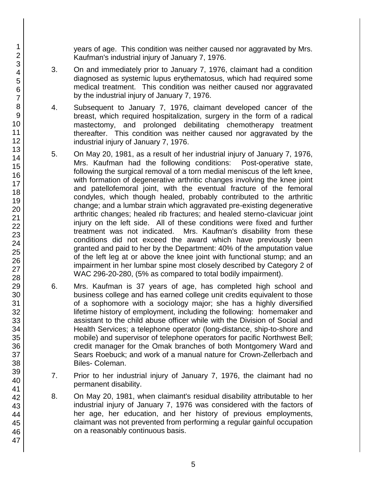years of age. This condition was neither caused nor aggravated by Mrs. Kaufman's industrial injury of January 7, 1976.

- 3. On and immediately prior to January 7, 1976, claimant had a condition diagnosed as systemic lupus erythematosus, which had required some medical treatment. This condition was neither caused nor aggravated by the industrial injury of January 7, 1976.
- 4. Subsequent to January 7, 1976, claimant developed cancer of the breast, which required hospitalization, surgery in the form of a radical mastectomy, and prolonged debilitating chemotherapy treatment thereafter. This condition was neither caused nor aggravated by the industrial injury of January 7, 1976.
- 5. On May 20, 1981, as a result of her industrial injury of January 7, 1976, Mrs. Kaufman had the following conditions: Post-operative state, following the surgical removal of a torn medial meniscus of the left knee, with formation of degenerative arthritic changes involving the knee joint and patellofemoral joint, with the eventual fracture of the femoral condyles, which though healed, probably contributed to the arthritic change; and a lumbar strain which aggravated pre-existing degenerative arthritic changes; healed rib fractures; and healed sterno-clavicuar joint injury on the left side. All of these conditions were fixed and further treatment was not indicated. Mrs. Kaufman's disability from these conditions did not exceed the award which have previously been granted and paid to her by the Department: 40% of the amputation value of the left leg at or above the knee joint with functional stump; and an impairment in her lumbar spine most closely described by Category 2 of WAC 296-20-280, (5% as compared to total bodily impairment).
- 6. Mrs. Kaufman is 37 years of age, has completed high school and business college and has earned college unit credits equivalent to those of a sophomore with a sociology major; she has a highly diversified lifetime history of employment, including the following: homemaker and assistant to the child abuse officer while with the Division of Social and Health Services; a telephone operator (long-distance, ship-to-shore and mobile) and supervisor of telephone operators for pacific Northwest Bell; credit manager for the Omak branches of both Montgomery Ward and Sears Roebuck; and work of a manual nature for Crown-Zellerbach and Biles- Coleman.
- 7. Prior to her industrial injury of January 7, 1976, the claimant had no permanent disability.
- 8. On May 20, 1981, when claimant's residual disability attributable to her industrial injury of January 7, 1976 was considered with the factors of her age, her education, and her history of previous employments, claimant was not prevented from performing a regular gainful occupation on a reasonably continuous basis.

47

1